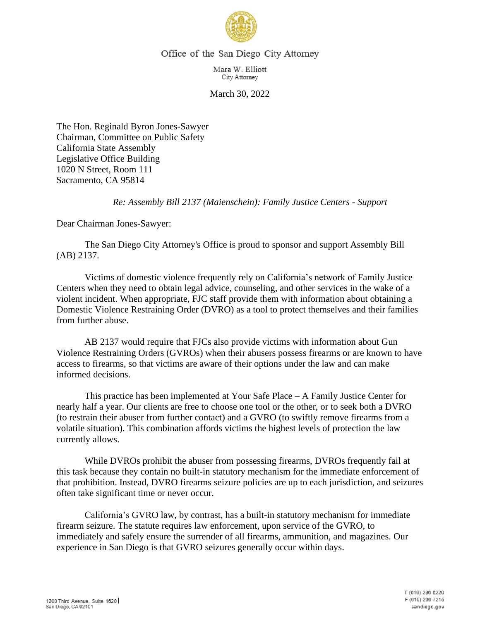

## Office of the San Diego City Attorney

Mara W. Elliott City Attorney

March 30, 2022

The Hon. Reginald Byron Jones-Sawyer Chairman, Committee on Public Safety California State Assembly Legislative Office Building 1020 N Street, Room 111 Sacramento, CA 95814

*Re: Assembly Bill 2137 (Maienschein): Family Justice Centers - Support*

Dear Chairman Jones-Sawyer:

The San Diego City Attorney's Office is proud to sponsor and support Assembly Bill (AB) 2137.

Victims of domestic violence frequently rely on California's network of Family Justice Centers when they need to obtain legal advice, counseling, and other services in the wake of a violent incident. When appropriate, FJC staff provide them with information about obtaining a Domestic Violence Restraining Order (DVRO) as a tool to protect themselves and their families from further abuse.

AB 2137 would require that FJCs also provide victims with information about Gun Violence Restraining Orders (GVROs) when their abusers possess firearms or are known to have access to firearms, so that victims are aware of their options under the law and can make informed decisions.

This practice has been implemented at Your Safe Place – A Family Justice Center for nearly half a year. Our clients are free to choose one tool or the other, or to seek both a DVRO (to restrain their abuser from further contact) and a GVRO (to swiftly remove firearms from a volatile situation). This combination affords victims the highest levels of protection the law currently allows.

While DVROs prohibit the abuser from possessing firearms, DVROs frequently fail at this task because they contain no built-in statutory mechanism for the immediate enforcement of that prohibition. Instead, DVRO firearms seizure policies are up to each jurisdiction, and seizures often take significant time or never occur.

California's GVRO law, by contrast, has a built-in statutory mechanism for immediate firearm seizure. The statute requires law enforcement, upon service of the GVRO, to immediately and safely ensure the surrender of all firearms, ammunition, and magazines. Our experience in San Diego is that GVRO seizures generally occur within days.